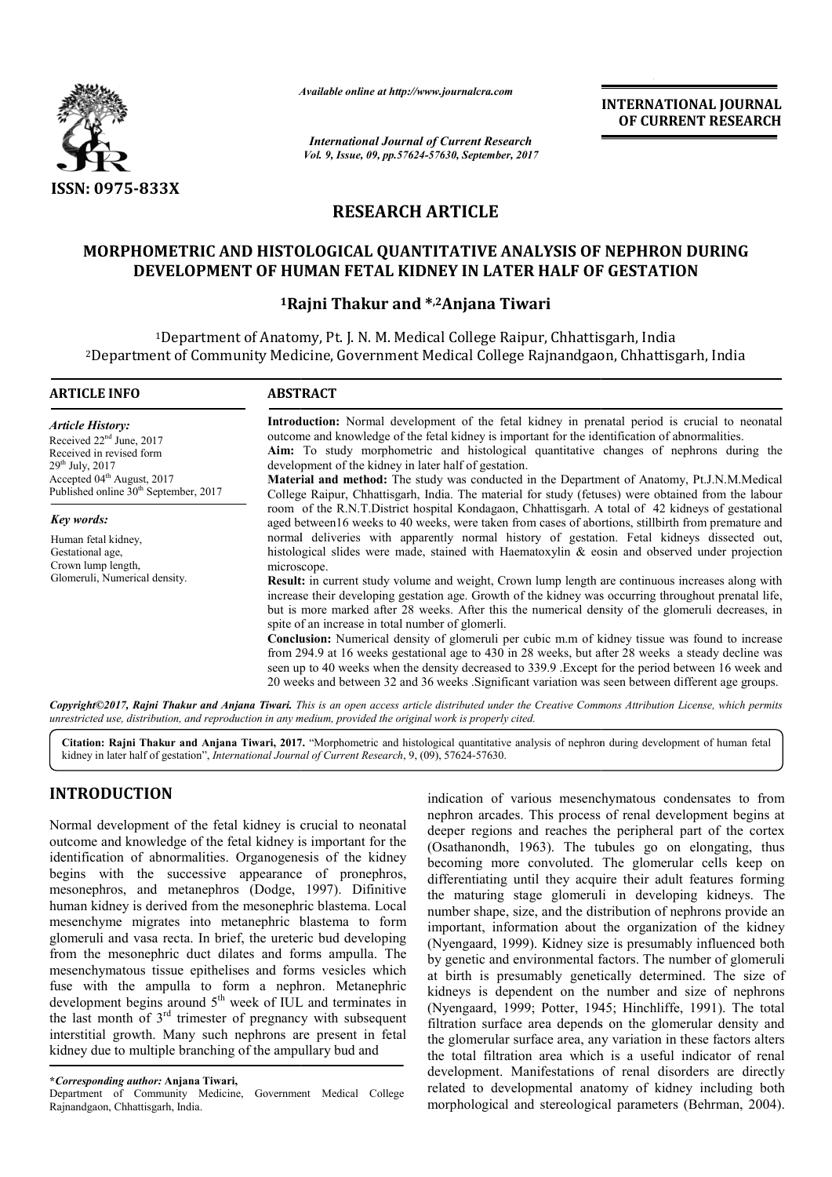

*Available online at http://www.journalcra.com*

*International Journal of Current Research Vol. 9, Issue, 09, pp.57624-57630, September, 2017* **INTERNATIONAL JOURNAL OF CURRENT RESEARCH**

# **RESEARCH ARTICLE**

# **MORPHOMETRIC AND HISTOLOGICAL QUANTITATIVE ANALYSIS OF NEPHRON DURING MORPHOMETRIC QUANTITATIVE ANALYSIS DEVELOPMENT IN LATER DEVELOPMENT OF HUMAN FETAL KIDNEY IN LATER HALF OF GESTATION**

# **1Rajni Thakur Rajni and \*,2Anjana Tiwari**

1Department of Anatomy, Pt. J. N. M. Medical College Raipur, Chhattisgarh, India <sup>1</sup>Department of Anatomy, Pt. J. N. M. Medical College Raipur, Chhattisgarh, India<br>Department of Community Medicine, Government Medical College Rajnandgaon, Chhattisgarh, India?

| <b>ARTICLE INFO</b>                                                                                                                                                                                                | <b>ABSTRACT</b>                                                                                                                                                                                                                                                                                                                                                                                                                                                                                                                                                                                                                                                                                                                                                                                                                                                                                                                                                                                                      |
|--------------------------------------------------------------------------------------------------------------------------------------------------------------------------------------------------------------------|----------------------------------------------------------------------------------------------------------------------------------------------------------------------------------------------------------------------------------------------------------------------------------------------------------------------------------------------------------------------------------------------------------------------------------------------------------------------------------------------------------------------------------------------------------------------------------------------------------------------------------------------------------------------------------------------------------------------------------------------------------------------------------------------------------------------------------------------------------------------------------------------------------------------------------------------------------------------------------------------------------------------|
| <b>Article History:</b><br>Received 22 <sup>nd</sup> June, 2017<br>Received in revised form<br>$29^{th}$ July, 2017<br>Accepted 04 <sup>th</sup> August, 2017<br>Published online 30 <sup>th</sup> September, 2017 | Introduction: Normal development of the fetal kidney in prenatal period is crucial to neonatal<br>outcome and knowledge of the fetal kidney is important for the identification of abnormalities.<br>Aim: To study morphometric and histological quantitative changes of nephrons during the<br>development of the kidney in later half of gestation.<br><b>Material and method:</b> The study was conducted in the Department of Anatomy, Pt.J.N.M.Medical<br>College Raipur, Chhattisgarh, India. The material for study (fetuses) were obtained from the labour                                                                                                                                                                                                                                                                                                                                                                                                                                                   |
| Key words:                                                                                                                                                                                                         | room of the R.N.T.District hospital Kondagaon, Chhattisgarh. A total of 42 kidneys of gestational<br>aged between 16 weeks to 40 weeks, were taken from cases of abortions, stillbirth from premature and                                                                                                                                                                                                                                                                                                                                                                                                                                                                                                                                                                                                                                                                                                                                                                                                            |
| Human fetal kidney,<br>Gestational age,<br>Crown lump length,<br>Glomeruli, Numerical density.                                                                                                                     | normal deliveries with apparently normal history of gestation. Fetal kidneys dissected out,<br>histological slides were made, stained with Haematoxylin $\&$ eosin and observed under projection<br>microscope.<br>Result: in current study volume and weight, Crown lump length are continuous increases along with<br>increase their developing gestation age. Growth of the kidney was occurring throughout prenatal life,<br>but is more marked after 28 weeks. After this the numerical density of the glomeruli decreases, in<br>spite of an increase in total number of glomerli.<br><b>Conclusion:</b> Numerical density of glomeruli per cubic m.m of kidney tissue was found to increase<br>from 294.9 at 16 weeks gestational age to 430 in 28 weeks, but after 28 weeks a steady decline was<br>seen up to 40 weeks when the density decreased to 339.9. Except for the period between 16 week and<br>20 weeks and between 32 and 36 weeks. Significant variation was seen between different age groups. |
|                                                                                                                                                                                                                    | Copyright©2017, Rajni Thakur and Anjana Tiwari. This is an open access article distributed under the Creative Commons Attribution License, which permits                                                                                                                                                                                                                                                                                                                                                                                                                                                                                                                                                                                                                                                                                                                                                                                                                                                             |

*unrestricted use, distribution, and reproduction in any medium medium, provided the original work is properly cited.*

Citation: Rajni Thakur and Anjana Tiwari, 2017. "Morphometric and histological quantitative analysis of nephron during development of human fetal kidney in later half of gestation", *International Journal of Current Research* , 9, (09), 57624-57630.

# **INTRODUCTION**

Normal development of the fetal kidney is crucial to neonatal outcome and knowledge of the fetal kidney is important for the identification of abnormalities. Organogenesis of the kidney begins with the successive appearance of pronephros, mesonephros, and metanephros (Dodge, 1997). Difinitive human kidney is derived from the mesonephric blastema. Local mesenchyme migrates into metanephric blastema to form glomeruli and vasa recta. In brief, the ureteric bud developing from the mesonephric duct dilates and forms ampulla. The mesenchymatous tissue epithelises and forms vesicles which fuse with the ampulla to form a nephron. Metanephric development begins around  $5<sup>th</sup>$  week of IUL and terminates in the last month of  $3<sup>rd</sup>$  trimester of pregnancy with subsequent interstitial growth. Many such nephrons are present in fetal kidney due to multiple branching of the ampullary bud and

**\****Corresponding author:* **Anjana Tiwari,**

Department of Community Medicine, Government Medical College Rajnandgaon, Chhattisgarh, India.

indication of various mesenchymatous condensates to from<br>
mal development begins and the equilibrial replaces. This process of renal development begins<br>
deeper regions and reaches the peripheral part of the cortex<br>
differe nephron arcades. This process of renal development begins at deeper regions and reaches the peripheral part of the cortex (Osathanondh, 1963). The tubules go on elongating, becoming more convoluted. The glomerular cells keep on differentiating until they acquire their adult features forming the maturing stage glomeruli in developing kidneys. The number shape, size, and the distribution of nephrons provide an important, information about the organization of the kidney (Nyengaard, 1999). Kidney size is presumably influenced both by genetic and environmental factors. The number of glomeruli at birth is presumably genetically determined. The size of by genetic and environmental factors. The number of glomeruli<br>at birth is presumably genetically determined. The size of<br>kidneys is dependent on the number and size of nephrons (Nyengaard, 1999; Potter, 1945; Hinchliffe, 1991). The total filtration surface area depends on the glomerular density and the glomerular surface area, any variation in these factors alters the total filtration area which is a useful indicator of renal development. Manifestations of renal disorders are directly filtration surface area depends on the glomerular density and<br>the glomerular surface area, any variation in these factors alters<br>the total filtration area which is a useful indicator of renal<br>development. Manifestations of morphological and stereological parameters (Behrman, 2004). indication of various mesenchymatous condensates to from<br>nephron arcades. This process of renal development begins at<br>deeper regions and reaches the peripheral part of the cortex<br>(Osathanondh, 1963). The tubules go on elon e convoluted. The glomerular cells keep on<br>until they acquire their adult features forming<br>stage glomeruli in developing kidneys. The<br>size, and the distribution of nephrons provide an<br>primation about the organization of th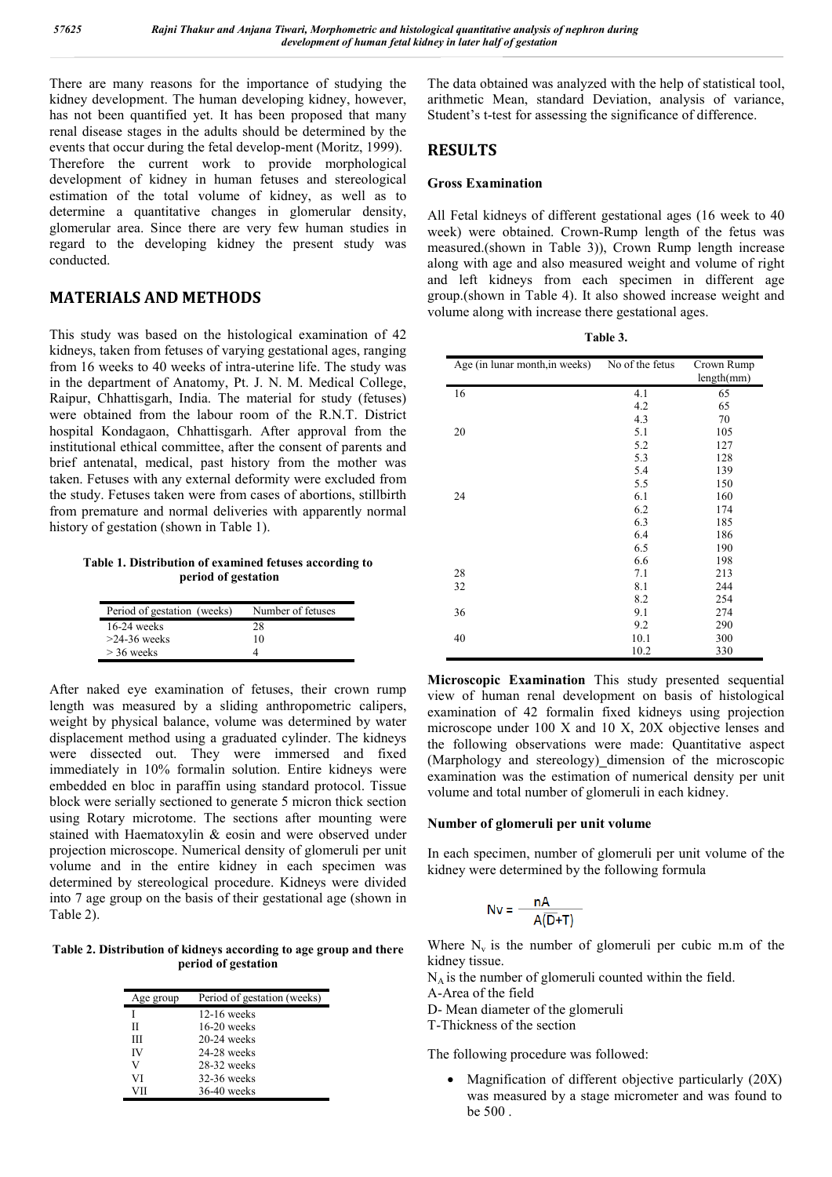There are many reasons for the importance of studying the kidney development. The human developing kidney, however, has not been quantified yet. It has been proposed that many renal disease stages in the adults should be determined by the events that occur during the fetal develop-ment (Moritz, 1999). Therefore the current work to provide morphological development of kidney in human fetuses and stereological estimation of the total volume of kidney, as well as to determine a quantitative changes in glomerular density, glomerular area. Since there are very few human studies in regard to the developing kidney the present study was conducted.

## **MATERIALS AND METHODS**

This study was based on the histological examination of 42 kidneys, taken from fetuses of varying gestational ages, ranging from 16 weeks to 40 weeks of intra-uterine life. The study was in the department of Anatomy, Pt. J. N. M. Medical College, Raipur, Chhattisgarh, India. The material for study (fetuses) were obtained from the labour room of the R.N.T. District hospital Kondagaon, Chhattisgarh. After approval from the institutional ethical committee, after the consent of parents and brief antenatal, medical, past history from the mother was taken. Fetuses with any external deformity were excluded from the study. Fetuses taken were from cases of abortions, stillbirth from premature and normal deliveries with apparently normal history of gestation (shown in Table 1).

**Table 1. Distribution of examined fetuses according to period of gestation**

| Period of gestation (weeks) | Number of fetuses |
|-----------------------------|-------------------|
| $16-24$ weeks               | 28                |
| $>24-36$ weeks              | 10                |
| $>$ 36 weeks                |                   |

After naked eye examination of fetuses, their crown rump length was measured by a sliding anthropometric calipers, weight by physical balance, volume was determined by water displacement method using a graduated cylinder. The kidneys were dissected out. They were immersed and fixed immediately in 10% formalin solution. Entire kidneys were embedded en bloc in paraffin using standard protocol. Tissue block were serially sectioned to generate 5 micron thick section using Rotary microtome. The sections after mounting were stained with Haematoxylin & eosin and were observed under projection microscope. Numerical density of glomeruli per unit volume and in the entire kidney in each specimen was determined by stereological procedure. Kidneys were divided into 7 age group on the basis of their gestational age (shown in Table 2).

**Table 2. Distribution of kidneys according to age group and there period of gestation**

| Age group | Period of gestation (weeks) |
|-----------|-----------------------------|
|           | $12-16$ weeks               |
| Н         | $16-20$ weeks               |
| Ш         | $20-24$ weeks               |
| IV        | $24-28$ weeks               |
| V         | $28-32$ weeks               |
| VI        | $32-36$ weeks               |
| VH        | $36-40$ weeks               |

The data obtained was analyzed with the help of statistical tool, arithmetic Mean, standard Deviation, analysis of variance, Student's t-test for assessing the significance of difference.

## **RESULTS**

### **Gross Examination**

All Fetal kidneys of different gestational ages (16 week to 40 week) were obtained. Crown-Rump length of the fetus was measured.(shown in Table 3)), Crown Rump length increase along with age and also measured weight and volume of right and left kidneys from each specimen in different age group.(shown in Table 4). It also showed increase weight and volume along with increase there gestational ages.

**Table 3.**

| Age (in lunar month, in weeks) | No of the fetus | Crown Rump<br>length(mm) |
|--------------------------------|-----------------|--------------------------|
| 16                             | 4.1             | 65                       |
|                                | 4.2             | 65                       |
|                                | 4.3             | 70                       |
| 20                             | 5.1             | 105                      |
|                                | 5.2             | 127                      |
|                                | 5.3             | 128                      |
|                                | 5.4             | 139                      |
|                                | 5.5             | 150                      |
| 24                             | 6.1             | 160                      |
|                                | 6.2             | 174                      |
|                                | 6.3             | 185                      |
|                                | 6.4             | 186                      |
|                                | 6.5             | 190                      |
|                                | 6.6             | 198                      |
| 28                             | 7.1             | 213                      |
| 32                             | 8.1             | 244                      |
|                                | 8.2             | 254                      |
| 36                             | 9.1             | 274                      |
|                                | 9.2             | 290                      |
| 40                             | 10.1            | 300                      |
|                                | 10.2            | 330                      |

**Microscopic Examination** This study presented sequential view of human renal development on basis of histological examination of 42 formalin fixed kidneys using projection microscope under 100 X and 10 X, 20X objective lenses and the following observations were made: Quantitative aspect (Marphology and stereology) dimension of the microscopic examination was the estimation of numerical density per unit volume and total number of glomeruli in each kidney.

### **Number of glomeruli per unit volume**

In each specimen, number of glomeruli per unit volume of the kidney were determined by the following formula

$$
Nv = \frac{nA}{A(D+T)}
$$

Where  $N_v$  is the number of glomeruli per cubic m.m of the kidney tissue.

 $N_A$  is the number of glomeruli counted within the field. A-Area of the field

D- Mean diameter of the glomeruli

T-Thickness of the section

The following procedure was followed:

 Magnification of different objective particularly (20X) was measured by a stage micrometer and was found to be 500 .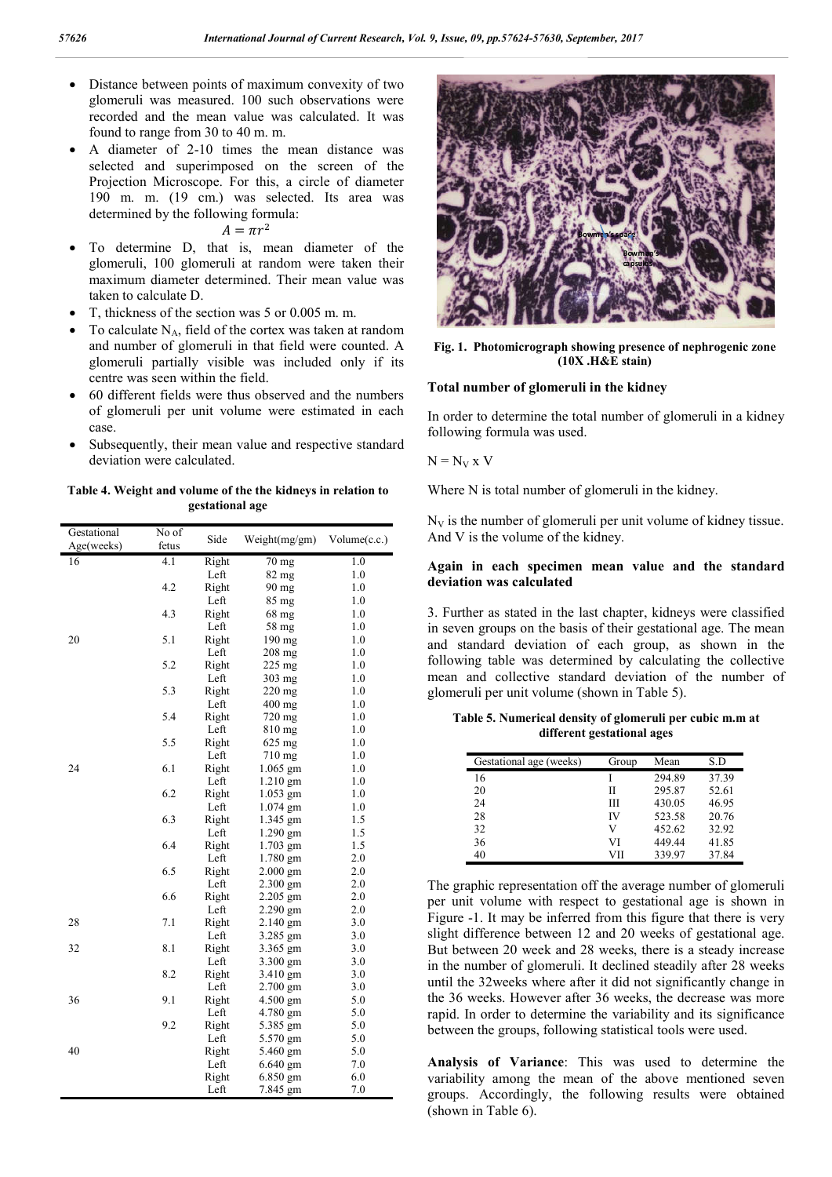- Distance between points of maximum convexity of two glomeruli was measured. 100 such observations were recorded and the mean value was calculated. It was found to range from 30 to 40 m. m.
- A diameter of 2-10 times the mean distance was selected and superimposed on the screen of the Projection Microscope. For this, a circle of diameter 190 m. m. (19 cm.) was selected. Its area was determined by the following formula:
	- $A=\pi r^2$
- To determine D, that is, mean diameter of the glomeruli, 100 glomeruli at random were taken their maximum diameter determined. Their mean value was taken to calculate D.
- T, thickness of the section was 5 or 0.005 m. m.
- To calculate  $N_A$ , field of the cortex was taken at random and number of glomeruli in that field were counted. A glomeruli partially visible was included only if its centre was seen within the field.
- 60 different fields were thus observed and the numbers of glomeruli per unit volume were estimated in each case.
- Subsequently, their mean value and respective standard deviation were calculated.

**Table 4. Weight and volume of the the kidneys in relation to gestational age**

| Gestational | No of | Side  | Weight(mg/gm)   | Volume(c.c.) |
|-------------|-------|-------|-----------------|--------------|
| Age(weeks)  | fetus |       |                 |              |
| 16          | 4.1   | Right | $70 \text{ mg}$ | 1.0          |
|             |       | Left  | 82 mg           | 1.0          |
|             | 4.2   | Right | $90$ mg         | 1.0          |
|             |       | Left  | 85 mg           | 1.0          |
|             | 4.3   | Right | 68 mg           | 1.0          |
|             |       | Left  | 58 mg           | 1.0          |
| 20          | 5.1   | Right | 190 mg          | 1.0          |
|             |       | Left  | 208 mg          | 1.0          |
|             | 5.2   | Right | $225$ mg        | 1.0          |
|             |       | Left  | 303 mg          | 1.0          |
|             | 5.3   | Right | 220 mg          | 1.0          |
|             |       | Left  | $400$ mg        | 1.0          |
|             | 5.4   | Right | 720 mg          | 1.0          |
|             |       | Left  | 810 mg          | 1.0          |
|             | 5.5   | Right | 625 mg          | 1.0          |
|             |       | Left  | 710 mg          | 1.0          |
| 24          | 6.1   | Right | $1.065$ gm      | 1.0          |
|             |       | Left  | $1.210$ gm      | 1.0          |
|             | 6.2   | Right | 1.053 gm        | 1.0          |
|             |       | Left  | $1.074$ gm      | 1.0          |
|             | 6.3   | Right | 1.345 gm        | 1.5          |
|             |       | Left  | $1.290$ gm      | 1.5          |
|             | 6.4   | Right | $1.703$ gm      | 1.5          |
|             |       | Left  | $1.780$ gm      | 2.0          |
|             | 6.5   | Right | 2.000 gm        | 2.0          |
|             |       | Left  | $2.300$ gm      | 2.0          |
|             | 6.6   | Right | 2.205 gm        | 2.0          |
|             |       | Left  | $2.290$ gm      | 2.0          |
| 28          | 7.1   | Right | 2.140 gm        | 3.0          |
|             |       | Left  | 3.285 gm        | 3.0          |
| 32          | 8.1   | Right | 3.365 gm        | 3.0          |
|             |       | Left  | 3.300 gm        | 3.0          |
|             | 8.2   | Right | 3.410 gm        | 3.0          |
|             |       | Left  | $2.700$ gm      | 3.0          |
| 36          | 9.1   | Right | 4.500 gm        | 5.0          |
|             |       | Left  | 4.780 gm        | 5.0          |
|             | 9.2   | Right | 5.385 gm        | 5.0          |
|             |       | Left  | 5.570 gm        | 5.0          |
| 40          |       | Right | 5.460 gm        | 5.0          |
|             |       | Left  | $6.640$ gm      | 7.0          |
|             |       | Right | 6.850 gm        | 6.0          |
|             |       | Left  | 7.845 gm        | 7.0          |



**Fig. 1. Photomicrograph showing presence of nephrogenic zone (10X .H&E stain)**

#### **Total number of glomeruli in the kidney**

In order to determine the total number of glomeruli in a kidney following formula was used.

 $N = N_V x V$ 

Where N is total number of glomeruli in the kidney.

 $N_V$  is the number of glomeruli per unit volume of kidney tissue. And V is the volume of the kidney.

#### **Again in each specimen mean value and the standard deviation was calculated**

3. Further as stated in the last chapter, kidneys were classified in seven groups on the basis of their gestational age. The mean and standard deviation of each group, as shown in the following table was determined by calculating the collective mean and collective standard deviation of the number of glomeruli per unit volume (shown in Table 5).

**Table 5. Numerical density of glomeruli per cubic m.m at different gestational ages**

| Gestational age (weeks) | Group | Mean   | S.D   |
|-------------------------|-------|--------|-------|
| 16                      |       | 294.89 | 37.39 |
| 20                      | П     | 295.87 | 52.61 |
| 24                      | Ш     | 430.05 | 46.95 |
| 28                      | IV    | 523.58 | 20.76 |
| 32                      | V     | 452.62 | 32.92 |
| 36                      | VI    | 449.44 | 41.85 |
| 40                      | VП    | 339.97 | 37.84 |

The graphic representation off the average number of glomeruli per unit volume with respect to gestational age is shown in Figure -1. It may be inferred from this figure that there is very slight difference between 12 and 20 weeks of gestational age. But between 20 week and 28 weeks, there is a steady increase in the number of glomeruli. It declined steadily after 28 weeks until the 32weeks where after it did not significantly change in the 36 weeks. However after 36 weeks, the decrease was more rapid. In order to determine the variability and its significance between the groups, following statistical tools were used.

**Analysis of Variance**: This was used to determine the variability among the mean of the above mentioned seven groups. Accordingly, the following results were obtained (shown in Table 6).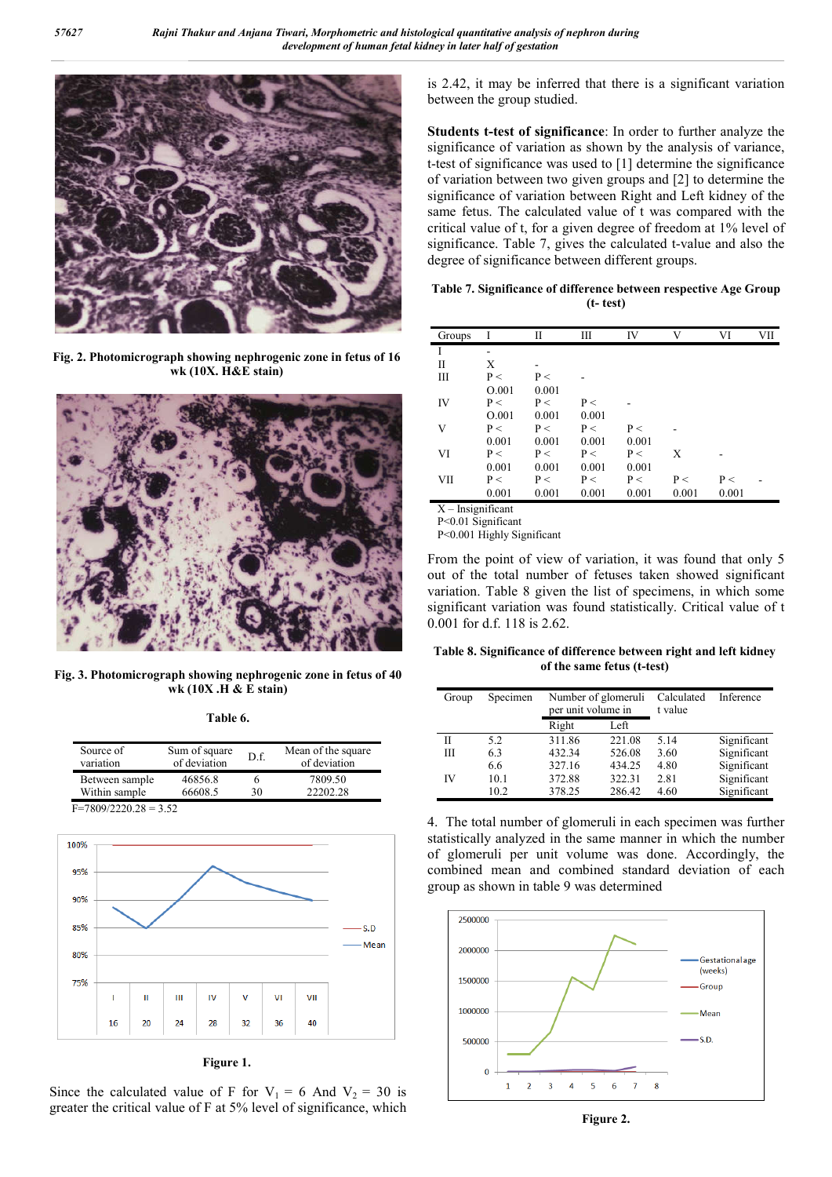

**Fig. 2. Photomicrograph showing nephrogenic zone in fetus of 16 wk (10X. H&E stain)**



**Fig. 3. Photomicrograph showing nephrogenic zone in fetus of 40 wk (10X .H & E stain)**

**Table 6.**

| Source of<br>variation | Sum of square<br>of deviation | D.f. | Mean of the square<br>of deviation |
|------------------------|-------------------------------|------|------------------------------------|
| Between sample         | 46856.8                       |      | 7809.50                            |
| Within sample          | 66608.5                       | 30   | 22202.28                           |





**Figure 1.**

Since the calculated value of F for  $V_1 = 6$  And  $V_2 = 30$  is greater the critical value of F at 5% level of significance, which is 2.42, it may be inferred that there is a significant variation between the group studied.

**Students t-test of significance**: In order to further analyze the significance of variation as shown by the analysis of variance, t-test of significance was used to [1] determine the significance of variation between two given groups and [2] to determine the significance of variation between Right and Left kidney of the same fetus. The calculated value of t was compared with the critical value of t, for a given degree of freedom at 1% level of significance. Table 7, gives the calculated t-value and also the degree of significance between different groups.

**Table 7. Significance of difference between respective Age Group (t- test)**

| Groups                       | I                        | П     | Ш     | IV    | V     | VI    | VII |
|------------------------------|--------------------------|-------|-------|-------|-------|-------|-----|
| I                            |                          |       |       |       |       |       |     |
| П                            | Х                        |       |       |       |       |       |     |
| Ш                            | P<                       | P<    |       |       |       |       |     |
|                              | O.001                    | 0.001 |       |       |       |       |     |
| IV                           | P<                       | P<    | P<    |       |       |       |     |
|                              | O.001                    | 0.001 | 0.001 |       |       |       |     |
| V                            | P<                       | P<    | P<    | P<    |       |       |     |
|                              | 0.001                    | 0.001 | 0.001 | 0.001 |       |       |     |
| VI                           | P<                       | P<    | P<    | P<    | X     |       |     |
|                              | 0.001                    | 0.001 | 0.001 | 0.001 |       |       |     |
| VII                          | P<                       | P<    | P<    | P<    | P<    | P<    |     |
|                              | 0.001                    | 0.001 | 0.001 | 0.001 | 0.001 | 0.001 |     |
| $\mathbf{v}$<br>$\mathbf{r}$ | $\cdot$ $\sim$<br>$\sim$ |       |       |       |       |       |     |

- Insignificant

P<0.01 Significant P<0.001 Highly Significant

From the point of view of variation, it was found that only 5

out of the total number of fetuses taken showed significant variation. Table 8 given the list of specimens, in which some significant variation was found statistically. Critical value of t 0.001 for d.f. 118 is 2.62.

**Table 8. Significance of difference between right and left kidney of the same fetus (t-test)**

| Group | Specimen | Number of glomeruli<br>per unit volume in |        | Calculated<br>t value | Inference   |
|-------|----------|-------------------------------------------|--------|-----------------------|-------------|
|       |          | Right                                     | Left   |                       |             |
| П     | 5.2      | 311.86                                    | 221.08 | 5.14                  | Significant |
| Ш     | 6.3      | 432.34                                    | 526.08 | 3.60                  | Significant |
|       | 6.6      | 327.16                                    | 434.25 | 4.80                  | Significant |
| IV    | 10.1     | 372.88                                    | 322.31 | 2.81                  | Significant |
|       | 10.2     | 378.25                                    | 286.42 | 4.60                  | Significant |

4. The total number of glomeruli in each specimen was further statistically analyzed in the same manner in which the number of glomeruli per unit volume was done. Accordingly, the combined mean and combined standard deviation of each group as shown in table 9 was determined



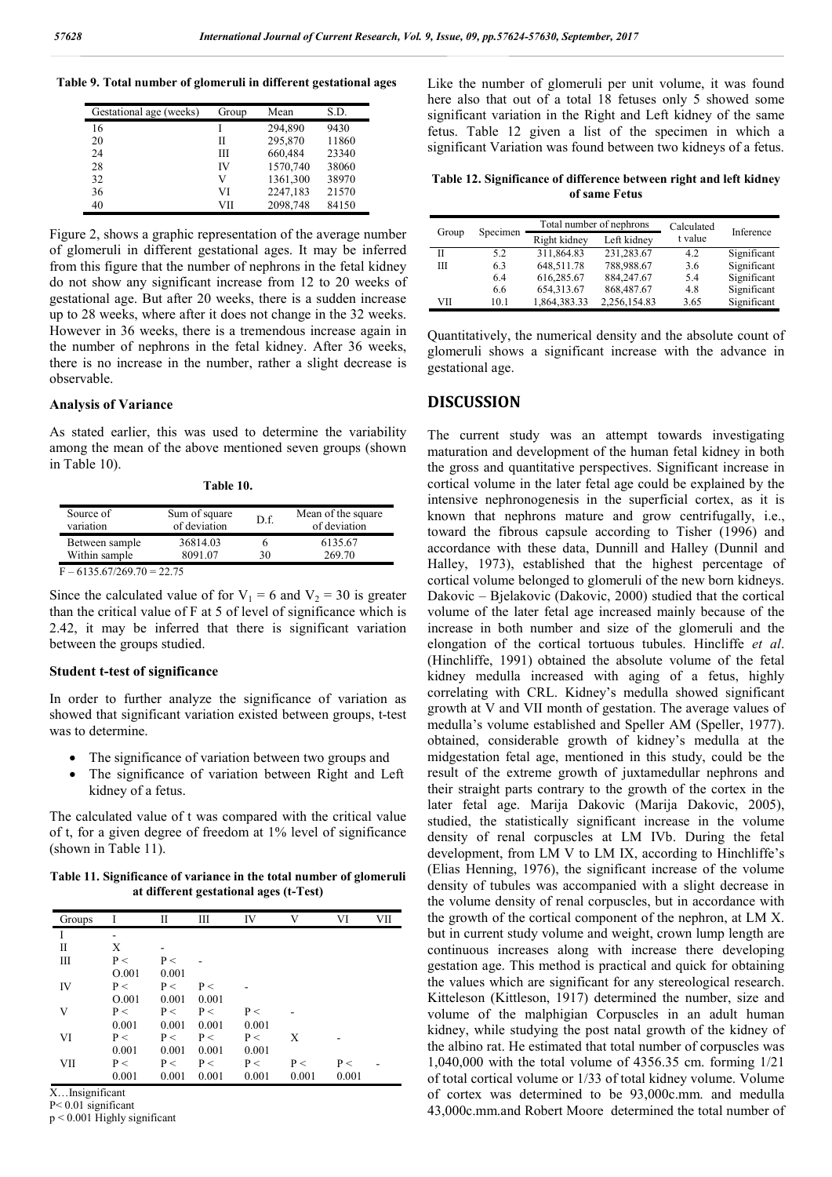**Table 9. Total number of glomeruli in different gestational ages**

| Gestational age (weeks) | Group | Mean     | S.D.  |
|-------------------------|-------|----------|-------|
| 16                      |       | 294,890  | 9430  |
| 20                      | Н     | 295,870  | 11860 |
| 24                      | Ш     | 660,484  | 23340 |
| 28                      | IV    | 1570,740 | 38060 |
| 32                      | V     | 1361,300 | 38970 |
| 36                      | VI    | 2247,183 | 21570 |
| 40                      | VП    | 2098,748 | 84150 |

Figure 2, shows a graphic representation of the average number of glomeruli in different gestational ages. It may be inferred from this figure that the number of nephrons in the fetal kidney do not show any significant increase from 12 to 20 weeks of gestational age. But after 20 weeks, there is a sudden increase up to 28 weeks, where after it does not change in the 32 weeks. However in 36 weeks, there is a tremendous increase again in the number of nephrons in the fetal kidney. After 36 weeks, there is no increase in the number, rather a slight decrease is observable.

#### **Analysis of Variance**

As stated earlier, this was used to determine the variability among the mean of the above mentioned seven groups (shown in Table 10).

| Table 10. |  |
|-----------|--|
|-----------|--|

| Source of<br>variation | Sum of square<br>of deviation | D.f. | Mean of the square<br>of deviation |
|------------------------|-------------------------------|------|------------------------------------|
| Between sample         | 36814.03                      |      | 6135.67                            |
| Within sample          | 8091 07                       | 30   | 269.70                             |
|                        | $\sim$ $\sim$ $\sim$          |      |                                    |

 $\overline{F - 6135.67/269.70} = 22.75$ 

Since the calculated value of for  $V_1 = 6$  and  $V_2 = 30$  is greater than the critical value of F at 5 of level of significance which is 2.42, it may be inferred that there is significant variation between the groups studied.

#### **Student t-test of significance**

In order to further analyze the significance of variation as showed that significant variation existed between groups, t-test was to determine.

- The significance of variation between two groups and
- The significance of variation between Right and Left kidney of a fetus.

The calculated value of t was compared with the critical value of t, for a given degree of freedom at 1% level of significance (shown in Table 11).

**Table 11. Significance of variance in the total number of glomeruli at different gestational ages (t-Test)**

| Groups      |       | П     | Ш     | IV    | V     | VI    | VІІ |
|-------------|-------|-------|-------|-------|-------|-------|-----|
|             |       |       |       |       |       |       |     |
| $_{\rm II}$ | Χ     |       |       |       |       |       |     |
| Ш           | P <   | P<    |       |       |       |       |     |
|             | O.001 | 0.001 |       |       |       |       |     |
| IV          | P<    | P<    | P<    |       |       |       |     |
|             | O.001 | 0.001 | 0.001 |       |       |       |     |
| V           | P<    | P<    | P<    | P <   |       |       |     |
|             | 0.001 | 0.001 | 0.001 | 0.001 |       |       |     |
| VI          | P<    | P<    | P<    | P<    | X     |       |     |
|             | 0.001 | 0.001 | 0.001 | 0.001 |       |       |     |
| VII         | P<    | P<    | P<    | P<    | P<    | P<    |     |
|             | 0.001 | 0.001 | 0.001 | 0.001 | 0.001 | 0.001 |     |

X…Insignificant

P< 0.01 significant p < 0.001 Highly significant Like the number of glomeruli per unit volume, it was found here also that out of a total 18 fetuses only 5 showed some significant variation in the Right and Left kidney of the same fetus. Table 12 given a list of the specimen in which a significant Variation was found between two kidneys of a fetus.

**Table 12. Significance of difference between right and left kidney of same Fetus**

|       |          |              | Total number of nephrons | Calculated | Inference   |
|-------|----------|--------------|--------------------------|------------|-------------|
| Group | Specimen | Right kidney | Left kidney              | t value    |             |
| П     | 5.2      | 311,864.83   | 231,283.67               | 4.2        | Significant |
| Ш     | 63       | 648,511.78   | 788,988.67               | 3.6        | Significant |
|       | 6.4      | 616,285.67   | 884,247.67               | 5.4        | Significant |
|       | 6.6      | 654,313.67   | 868,487.67               | 4.8        | Significant |
| VII   | 10.1     | 1,864,383.33 | 2,256,154.83             | 3.65       | Significant |

Quantitatively, the numerical density and the absolute count of glomeruli shows a significant increase with the advance in gestational age.

#### **DISCUSSION**

The current study was an attempt towards investigating maturation and development of the human fetal kidney in both the gross and quantitative perspectives. Significant increase in cortical volume in the later fetal age could be explained by the intensive nephronogenesis in the superficial cortex, as it is known that nephrons mature and grow centrifugally, i.e., toward the fibrous capsule according to Tisher (1996) and accordance with these data, Dunnill and Halley (Dunnil and Halley, 1973), established that the highest percentage of cortical volume belonged to glomeruli of the new born kidneys. Dakovic – Bjelakovic (Dakovic, 2000) studied that the cortical volume of the later fetal age increased mainly because of the increase in both number and size of the glomeruli and the elongation of the cortical tortuous tubules. Hincliffe *et al*. (Hinchliffe, 1991) obtained the absolute volume of the fetal kidney medulla increased with aging of a fetus, highly correlating with CRL. Kidney's medulla showed significant growth at V and VII month of gestation. The average values of medulla's volume established and Speller AM (Speller, 1977). obtained, considerable growth of kidney's medulla at the midgestation fetal age, mentioned in this study, could be the result of the extreme growth of juxtamedullar nephrons and their straight parts contrary to the growth of the cortex in the later fetal age. Marija Dakovic (Marija Dakovic, 2005), studied, the statistically significant increase in the volume density of renal corpuscles at LM IVb. During the fetal development, from LM V to LM IX, according to Hinchliffe's (Elias Henning, 1976), the significant increase of the volume density of tubules was accompanied with a slight decrease in the volume density of renal corpuscles, but in accordance with the growth of the cortical component of the nephron, at LM X. but in current study volume and weight, crown lump length are continuous increases along with increase there developing gestation age. This method is practical and quick for obtaining the values which are significant for any stereological research. Kitteleson (Kittleson, 1917) determined the number, size and volume of the malphigian Corpuscles in an adult human kidney, while studying the post natal growth of the kidney of the albino rat. He estimated that total number of corpuscles was 1,040,000 with the total volume of 4356.35 cm. forming 1/21 of total cortical volume or 1/33 of total kidney volume. Volume of cortex was determined to be 93,000c.mm. and medulla 43,000c.mm.and Robert Mooredetermined the total number of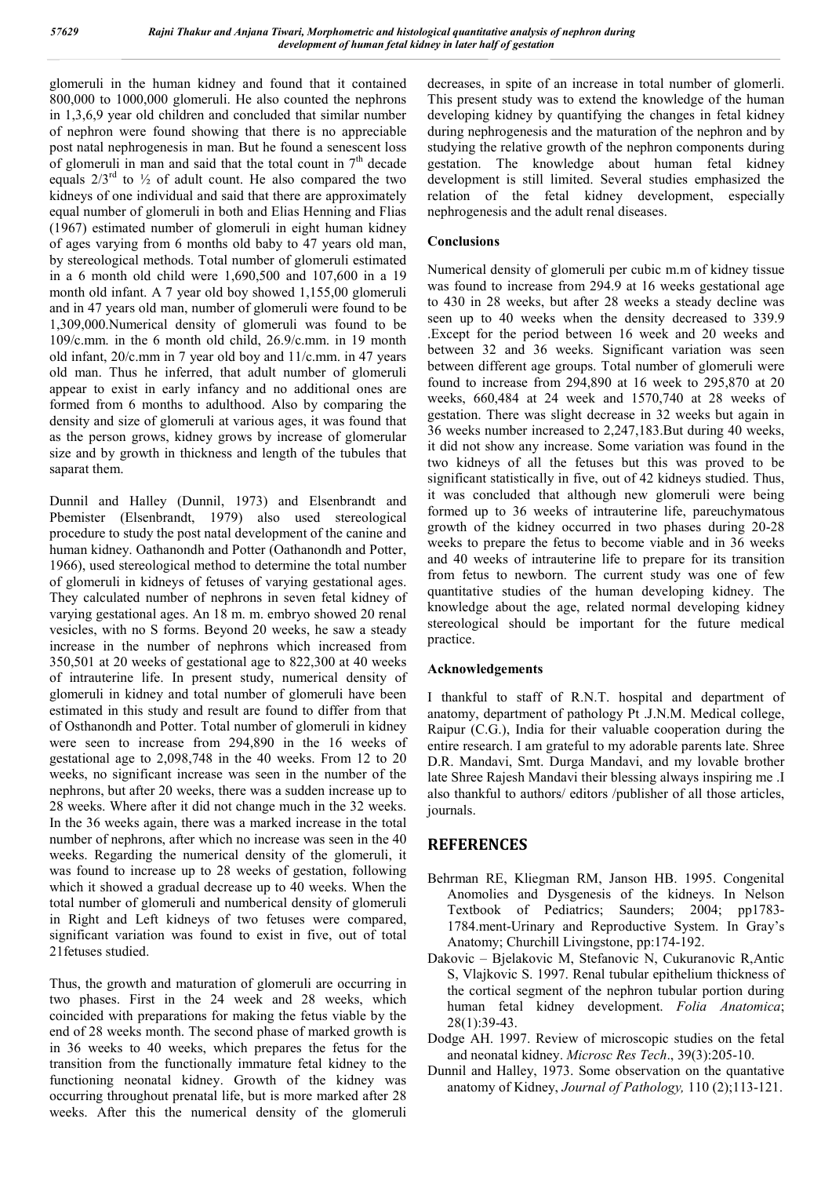glomeruli in the human kidney and found that it contained 800,000 to 1000,000 glomeruli. He also counted the nephrons in 1,3,6,9 year old children and concluded that similar number of nephron were found showing that there is no appreciable post natal nephrogenesis in man. But he found a senescent loss of glomeruli in man and said that the total count in  $7<sup>th</sup>$  decade equals  $2/3^{rd}$  to  $\frac{1}{2}$  of adult count. He also compared the two kidneys of one individual and said that there are approximately equal number of glomeruli in both and Elias Henning and Flias (1967) estimated number of glomeruli in eight human kidney of ages varying from 6 months old baby to 47 years old man, by stereological methods. Total number of glomeruli estimated in a 6 month old child were 1,690,500 and 107,600 in a 19 month old infant. A 7 year old boy showed 1,155,00 glomeruli and in 47 years old man, number of glomeruli were found to be 1,309,000.Numerical density of glomeruli was found to be 109/c.mm. in the 6 month old child, 26.9/c.mm. in 19 month old infant, 20/c.mm in 7 year old boy and 11/c.mm. in 47 years old man. Thus he inferred, that adult number of glomeruli appear to exist in early infancy and no additional ones are formed from 6 months to adulthood. Also by comparing the density and size of glomeruli at various ages, it was found that as the person grows, kidney grows by increase of glomerular size and by growth in thickness and length of the tubules that saparat them.

Dunnil and Halley (Dunnil, 1973) and Elsenbrandt and Pbemister (Elsenbrandt, 1979) also used stereological procedure to study the post natal development of the canine and human kidney. Oathanondh and Potter (Oathanondh and Potter, 1966), used stereological method to determine the total number of glomeruli in kidneys of fetuses of varying gestational ages. They calculated number of nephrons in seven fetal kidney of varying gestational ages. An 18 m. m. embryo showed 20 renal vesicles, with no S forms. Beyond 20 weeks, he saw a steady increase in the number of nephrons which increased from 350,501 at 20 weeks of gestational age to 822,300 at 40 weeks of intrauterine life. In present study, numerical density of glomeruli in kidney and total number of glomeruli have been estimated in this study and result are found to differ from that of Osthanondh and Potter. Total number of glomeruli in kidney were seen to increase from 294,890 in the 16 weeks of gestational age to 2,098,748 in the 40 weeks. From 12 to 20 weeks, no significant increase was seen in the number of the nephrons, but after 20 weeks, there was a sudden increase up to 28 weeks. Where after it did not change much in the 32 weeks. In the 36 weeks again, there was a marked increase in the total number of nephrons, after which no increase was seen in the 40 weeks. Regarding the numerical density of the glomeruli, it was found to increase up to 28 weeks of gestation, following which it showed a gradual decrease up to 40 weeks. When the total number of glomeruli and numberical density of glomeruli in Right and Left kidneys of two fetuses were compared, significant variation was found to exist in five, out of total 21fetuses studied.

Thus, the growth and maturation of glomeruli are occurring in two phases. First in the 24 week and 28 weeks, which coincided with preparations for making the fetus viable by the end of 28 weeks month. The second phase of marked growth is in 36 weeks to 40 weeks, which prepares the fetus for the transition from the functionally immature fetal kidney to the functioning neonatal kidney. Growth of the kidney was occurring throughout prenatal life, but is more marked after 28 weeks. After this the numerical density of the glomeruli decreases, in spite of an increase in total number of glomerli. This present study was to extend the knowledge of the human developing kidney by quantifying the changes in fetal kidney during nephrogenesis and the maturation of the nephron and by studying the relative growth of the nephron components during gestation. The knowledge about human fetal kidney development is still limited. Several studies emphasized the relation of the fetal kidney development, especially nephrogenesis and the adult renal diseases.

## **Conclusions**

Numerical density of glomeruli per cubic m.m of kidney tissue was found to increase from 294.9 at 16 weeks gestational age to 430 in 28 weeks, but after 28 weeks a steady decline was seen up to 40 weeks when the density decreased to 339.9 .Except for the period between 16 week and 20 weeks and between 32 and 36 weeks. Significant variation was seen between different age groups. Total number of glomeruli were found to increase from 294,890 at 16 week to 295,870 at 20 weeks, 660,484 at 24 week and 1570,740 at 28 weeks of gestation. There was slight decrease in 32 weeks but again in 36 weeks number increased to 2,247,183.But during 40 weeks, it did not show any increase. Some variation was found in the two kidneys of all the fetuses but this was proved to be significant statistically in five, out of 42 kidneys studied. Thus, it was concluded that although new glomeruli were being formed up to 36 weeks of intrauterine life, pareuchymatous growth of the kidney occurred in two phases during 20-28 weeks to prepare the fetus to become viable and in 36 weeks and 40 weeks of intrauterine life to prepare for its transition from fetus to newborn. The current study was one of few quantitative studies of the human developing kidney. The knowledge about the age, related normal developing kidney stereological should be important for the future medical practice.

## **Acknowledgements**

I thankful to staff of R.N.T. hospital and department of anatomy, department of pathology Pt .J.N.M. Medical college, Raipur (C.G.), India for their valuable cooperation during the entire research. I am grateful to my adorable parents late. Shree D.R. Mandavi, Smt. Durga Mandavi, and my lovable brother late Shree Rajesh Mandavi their blessing always inspiring me .I also thankful to authors/ editors /publisher of all those articles, journals.

# **REFERENCES**

- Behrman RE, Kliegman RM, Janson HB. 1995. Congenital Anomolies and Dysgenesis of the kidneys. In Nelson Textbook of Pediatrics; Saunders; 2004; pp1783- 1784.ment-Urinary and Reproductive System. In Gray's Anatomy; Churchill Livingstone, pp:174-192.
- Dakovic Bjelakovic M, Stefanovic N, Cukuranovic R,Antic S, Vlajkovic S. 1997. Renal tubular epithelium thickness of the cortical segment of the nephron tubular portion during human fetal kidney development. *Folia Anatomica*; 28(1):39-43.
- Dodge AH. 1997. Review of microscopic studies on the fetal and neonatal kidney. *Microsc Res Tech*., 39(3):205-10.
- Dunnil and Halley, 1973. Some observation on the quantative anatomy of Kidney, *Journal of Pathology,* 110 (2);113-121.